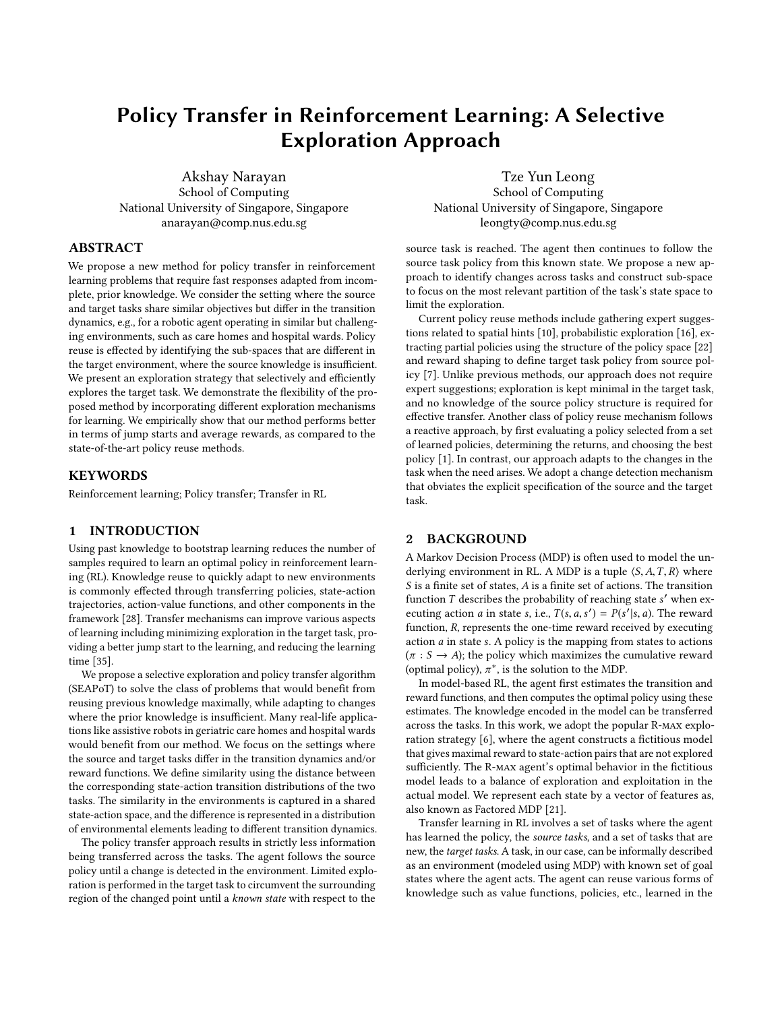# Policy Transfer in Reinforcement Learning: A Selective Exploration Approach

Akshay Narayan School of Computing National University of Singapore, Singapore anarayan@comp.nus.edu.sg

Tze Yun Leong School of Computing National University of Singapore, Singapore leongty@comp.nus.edu.sg

## ABSTRACT

We propose a new method for policy transfer in reinforcement learning problems that require fast responses adapted from incomplete, prior knowledge. We consider the setting where the source and target tasks share similar objectives but differ in the transition dynamics, e.g., for a robotic agent operating in similar but challenging environments, such as care homes and hospital wards. Policy reuse is effected by identifying the sub-spaces that are different in the target environment, where the source knowledge is insufficient. We present an exploration strategy that selectively and efficiently explores the target task. We demonstrate the flexibility of the proposed method by incorporating different exploration mechanisms for learning. We empirically show that our method performs better in terms of jump starts and average rewards, as compared to the state-of-the-art policy reuse methods.

## **KEYWORDS**

Reinforcement learning; Policy transfer; Transfer in RL

## 1 INTRODUCTION

Using past knowledge to bootstrap learning reduces the number of samples required to learn an optimal policy in reinforcement learning (RL). Knowledge reuse to quickly adapt to new environments is commonly effected through transferring policies, state-action trajectories, action-value functions, and other components in the framework [\[28\]](#page-8-0). Transfer mechanisms can improve various aspects of learning including minimizing exploration in the target task, providing a better jump start to the learning, and reducing the learning time [\[35\]](#page-8-1).

We propose a selective exploration and policy transfer algorithm (SEAPoT) to solve the class of problems that would benefit from reusing previous knowledge maximally, while adapting to changes where the prior knowledge is insufficient. Many real-life applications like assistive robots in geriatric care homes and hospital wards would benefit from our method. We focus on the settings where the source and target tasks differ in the transition dynamics and/or reward functions. We define similarity using the distance between the corresponding state-action transition distributions of the two tasks. The similarity in the environments is captured in a shared state-action space, and the difference is represented in a distribution of environmental elements leading to different transition dynamics.

The policy transfer approach results in strictly less information being transferred across the tasks. The agent follows the source policy until a change is detected in the environment. Limited exploration is performed in the target task to circumvent the surrounding region of the changed point until a known state with respect to the

source task is reached. The agent then continues to follow the source task policy from this known state. We propose a new approach to identify changes across tasks and construct sub-space to focus on the most relevant partition of the task's state space to limit the exploration.

Current policy reuse methods include gathering expert suggestions related to spatial hints [\[10\]](#page-7-0), probabilistic exploration [\[16\]](#page-8-2), extracting partial policies using the structure of the policy space [\[22\]](#page-8-3) and reward shaping to define target task policy from source policy [\[7\]](#page-7-1). Unlike previous methods, our approach does not require expert suggestions; exploration is kept minimal in the target task, and no knowledge of the source policy structure is required for effective transfer. Another class of policy reuse mechanism follows a reactive approach, by first evaluating a policy selected from a set of learned policies, determining the returns, and choosing the best policy [\[1\]](#page-7-2). In contrast, our approach adapts to the changes in the task when the need arises. We adopt a change detection mechanism that obviates the explicit specification of the source and the target task.

## 2 BACKGROUND

A Markov Decision Process (MDP) is often used to model the underlying environment in RL. A MDP is a tuple  $\langle S, A, T, R \rangle$  where S is a finite set of states, A is a finite set of actions. The transition function *T* describes the probability of reaching state s' when ex-<br>equiting action *a* in state s i.e.  $T(s, a, s') = P(s'|s, a)$ . The reward ecuting action *a* in state *s*, i.e.,  $T(s, a, s') = P(s'|s, a)$ . The reward function, R, represents the one-time reward received by executing action a in state s. A policy is the mapping from states to actions  $(\pi : S \rightarrow A)$ ; the policy which maximizes the cumulative reward (optimal policy),  $\pi^*$ , is the solution to the MDP.<br>In model-based PI, the agent first estimates

In model-based RL, the agent first estimates the transition and reward functions, and then computes the optimal policy using these estimates. The knowledge encoded in the model can be transferred across the tasks. In this work, we adopt the popular R-max exploration strategy [\[6\]](#page-7-3), where the agent constructs a fictitious model that gives maximal reward to state-action pairs that are not explored sufficiently. The R-max agent's optimal behavior in the fictitious model leads to a balance of exploration and exploitation in the actual model. We represent each state by a vector of features as, also known as Factored MDP [\[21\]](#page-8-4).

Transfer learning in RL involves a set of tasks where the agent has learned the policy, the source tasks, and a set of tasks that are new, the target tasks. A task, in our case, can be informally described as an environment (modeled using MDP) with known set of goal states where the agent acts. The agent can reuse various forms of knowledge such as value functions, policies, etc., learned in the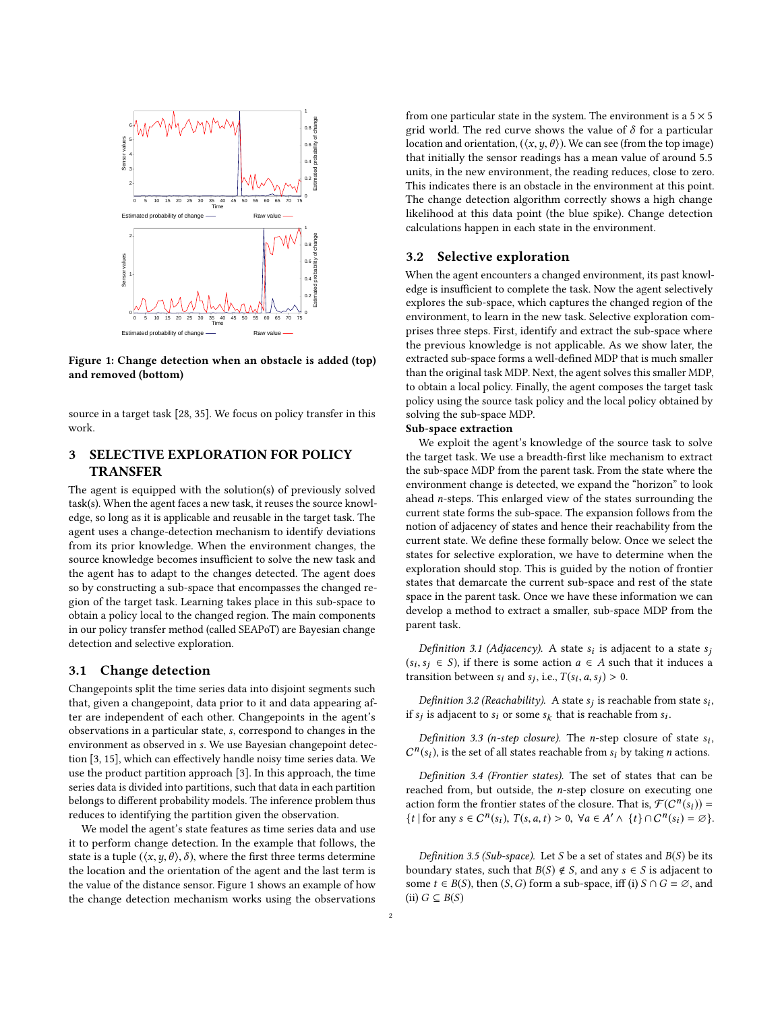<span id="page-1-0"></span>

Figure 1: Change detection when an obstacle is added (top) and removed (bottom)

source in a target task [\[28,](#page-8-0) [35\]](#page-8-1). We focus on policy transfer in this work.

# 3 SELECTIVE EXPLORATION FOR POLICY TRANSFER

The agent is equipped with the solution(s) of previously solved task(s). When the agent faces a new task, it reuses the source knowledge, so long as it is applicable and reusable in the target task. The agent uses a change-detection mechanism to identify deviations from its prior knowledge. When the environment changes, the source knowledge becomes insufficient to solve the new task and the agent has to adapt to the changes detected. The agent does so by constructing a sub-space that encompasses the changed region of the target task. Learning takes place in this sub-space to obtain a policy local to the changed region. The main components in our policy transfer method (called SEAPoT) are Bayesian change detection and selective exploration.

## 3.1 Change detection

Changepoints split the time series data into disjoint segments such that, given a changepoint, data prior to it and data appearing after are independent of each other. Changepoints in the agent's observations in a particular state, s, correspond to changes in the environment as observed in s. We use Bayesian changepoint detection [\[3,](#page-7-4) [15\]](#page-8-5), which can effectively handle noisy time series data. We use the product partition approach [\[3\]](#page-7-4). In this approach, the time series data is divided into partitions, such that data in each partition belongs to different probability models. The inference problem thus reduces to identifying the partition given the observation.

We model the agent's state features as time series data and use it to perform change detection. In the example that follows, the state is a tuple ( $\langle x, y, \theta \rangle$ ,  $\delta$ ), where the first three terms determine the location and the orientation of the agent and the last term is the value of the distance sensor. Figure [1](#page-1-0) shows an example of how the change detection mechanism works using the observations from one particular state in the system. The environment is a  $5 \times 5$ grid world. The red curve shows the value of  $\delta$  for a particular location and orientation,  $(\langle x, y, \theta \rangle)$ . We can see (from the top image) that initially the sensor readings has a mean value of around 5.5 units, in the new environment, the reading reduces, close to zero. This indicates there is an obstacle in the environment at this point. The change detection algorithm correctly shows a high change likelihood at this data point (the blue spike). Change detection calculations happen in each state in the environment.

## 3.2 Selective exploration

When the agent encounters a changed environment, its past knowledge is insufficient to complete the task. Now the agent selectively explores the sub-space, which captures the changed region of the environment, to learn in the new task. Selective exploration comprises three steps. First, identify and extract the sub-space where the previous knowledge is not applicable. As we show later, the extracted sub-space forms a well-defined MDP that is much smaller than the original task MDP. Next, the agent solves this smaller MDP, to obtain a local policy. Finally, the agent composes the target task policy using the source task policy and the local policy obtained by solving the sub-space MDP.

## Sub-space extraction

We exploit the agent's knowledge of the source task to solve the target task. We use a breadth-first like mechanism to extract the sub-space MDP from the parent task. From the state where the environment change is detected, we expand the "horizon" to look ahead n-steps. This enlarged view of the states surrounding the current state forms the sub-space. The expansion follows from the notion of adjacency of states and hence their reachability from the current state. We define these formally below. Once we select the states for selective exploration, we have to determine when the exploration should stop. This is guided by the notion of frontier states that demarcate the current sub-space and rest of the state space in the parent task. Once we have these information we can develop a method to extract a smaller, sub-space MDP from the parent task.

Definition 3.1 (Adjacency). A state  $s_i$  is adjacent to a state  $s_i$ <br> $s_i \in S$ ) if there is some action  $a_i \in A$  such that it induces a  $(s_i, s_j \in S)$ , if there is some action  $a \in A$  such that it induces a transition between s, and s, i.e.  $T(s_i, a, s_i) > 0$ transition between  $s_i$  and  $s_j$ , i.e.,  $T(s_i, a, s_j) > 0$ .

Definition 3.2 (Reachability). A state  $s_j$  is reachable from state  $s_i$ , if  $s_j$  is adjacent to  $s_i$  or some  $s_k$  that is reachable from  $s_i$ .

<span id="page-1-3"></span>Definition 3.3 (n-step closure). The n-step closure of state  $s_i$ ,  $f(s_i)$  is the set of all states reachable from s, by taking n actions  $C^n(s_i)$ , is the set of all states reachable from  $s_i$  by taking *n* actions.

<span id="page-1-1"></span>Definition 3.4 (Frontier states). The set of states that can be reached from, but outside, the n-step closure on executing one action form the frontier states of the closure. That is,  $\mathcal{F}(C^n(s_i)) =$ <br>  $\mathcal{F}_t$  (for any  $s \in C^n(c_i)$ ),  $T(s, a, t) > 0$ ,  $\forall a \in A' \land \mathcal{F}_t$  ( $c \cap n(s_i) = \emptyset$ ) {t | for any  $s \in C^n(s_i)$ ,  $T(s, a, t) > 0$ ,  $\forall a \in A' \land \{t\} \cap C^n(s_i) = \emptyset$ }.

<span id="page-1-2"></span>Definition 3.5 (Sub-space). Let S be a set of states and  $B(S)$  be its boundary states, such that  $B(S) \notin S$ , and any  $s \in S$  is adjacent to some  $t \in B(S)$ , then  $(S, G)$  form a sub-space, iff (i)  $S \cap G = \emptyset$ , and (ii)  $G \subseteq B(S)$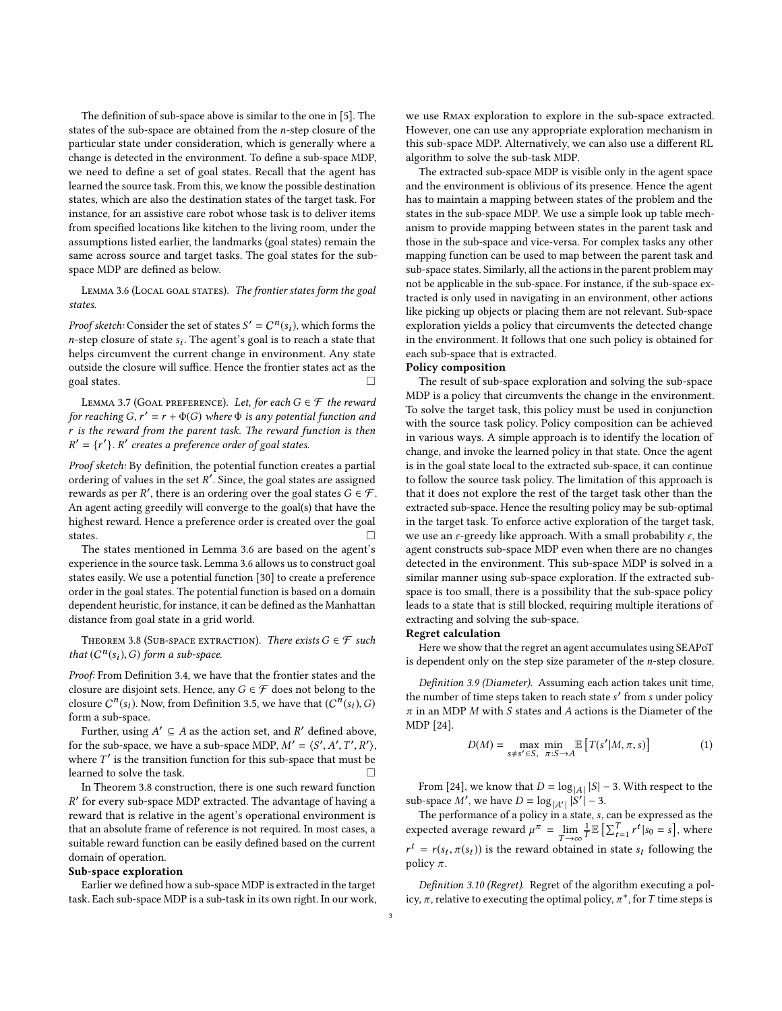The definition of sub-space above is similar to the one in [\[5\]](#page-7-5). The states of the sub-space are obtained from the n-step closure of the particular state under consideration, which is generally where a change is detected in the environment. To define a sub-space MDP, we need to define a set of goal states. Recall that the agent has learned the source task. From this, we know the possible destination states, which are also the destination states of the target task. For instance, for an assistive care robot whose task is to deliver items from specified locations like kitchen to the living room, under the assumptions listed earlier, the landmarks (goal states) remain the same across source and target tasks. The goal states for the subspace MDP are defined as below.

<span id="page-2-0"></span>LEMMA 3.6 (LOCAL GOAL STATES). The frontier states form the goal states.

*Proof sketch:* Consider the set of states  $S' = C^n(s_i)$ , which forms the n-stan closure of states. The agent's goal is to reach a state that *n*-step closure of state  $s_i$ . The agent's goal is to reach a state that helps circumvent the current change in environment. Any state helps circumvent the current change in environment. Any state outside the closure will suffice. Hence the frontier states act as the goal states.  $\Box$ 

<span id="page-2-3"></span>LEMMA 3.7 (GOAL PREFERENCE). Let, for each  $G \in \mathcal{F}$  the reward for reaching  $G, r' = r + \Phi(G)$  where  $\Phi$  is any potential function and  $r$  is the reward from the parent task. The reward function is then r is the reward from the parent task. The reward function is then  $' = {r'}$ . R' creates a preference order of goal states.

Proof sketch: By definition, the potential function creates a partial ordering of values in the set R<sup>'</sup>. Since, the goal states are assigned<br>rewards as per  $P'$  there is an ordering over the goal states  $G \in \mathcal{F}$ rewards as per R', there is an ordering over the goal states  $G \in \mathcal{F}$ .<br>An agent acting greedily will converge to the goal(s) that have the An agent acting greedily will converge to the goal(s) that have the highest reward. Hence a preference order is created over the goal states.

The states mentioned in Lemma [3.6](#page-2-0) are based on the agent's experience in the source task. Lemma [3.6](#page-2-0) allows us to construct goal states easily. We use a potential function [\[30\]](#page-8-6) to create a preference order in the goal states. The potential function is based on a domain dependent heuristic, for instance, it can be defined as the Manhattan distance from goal state in a grid world.

<span id="page-2-1"></span>THEOREM 3.8 (SUB-SPACE EXTRACTION). There exists  $G \in \mathcal{F}$  such that  $(C^n(s_i), G)$  form a sub-space.

Proof: From Definition [3.4,](#page-1-1) we have that the frontier states and the closure are disjoint sets. Hence, any  $G \in \mathcal{F}$  does not belong to the closure  $C^n(s_i)$ . Now, from Definition [3.5,](#page-1-2) we have that  $(C^n(s_i), G)$ <br>form a sub-space form a sub-space.

Further, using  $A' \subseteq A$  as the action set, and R' defined above,<br>the sub-space we have a sub-space MDP  $M' = \langle S' | A' T' | P' \rangle$ for the sub-space, we have a sub-space MDP,  $M' = \langle S', A', T', R' \rangle$ ,<br>where  $T'$  is the transition function for this sub-space that must be where  $T'$  is the transition function for this sub-space that must be learned to solve the tote learned to solve the task.

In Theorem [3.8](#page-2-1) construction, there is one such reward function reversively call up the case in the agent's operational environment is ′ for every sub-space MDP extracted. The advantage of having a that an absolute frame of reference is not required. In most cases, a suitable reward function can be easily defined based on the current domain of operation.

#### Sub-space exploration

Earlier we defined how a sub-space MDP is extracted in the target task. Each sub-space MDP is a sub-task in its own right. In our work, we use Rmax exploration to explore in the sub-space extracted. However, one can use any appropriate exploration mechanism in this sub-space MDP. Alternatively, we can also use a different RL algorithm to solve the sub-task MDP.

The extracted sub-space MDP is visible only in the agent space and the environment is oblivious of its presence. Hence the agent has to maintain a mapping between states of the problem and the states in the sub-space MDP. We use a simple look up table mechanism to provide mapping between states in the parent task and those in the sub-space and vice-versa. For complex tasks any other mapping function can be used to map between the parent task and sub-space states. Similarly, all the actions in the parent problem may not be applicable in the sub-space. For instance, if the sub-space extracted is only used in navigating in an environment, other actions like picking up objects or placing them are not relevant. Sub-space exploration yields a policy that circumvents the detected change in the environment. It follows that one such policy is obtained for each sub-space that is extracted.

## Policy composition

The result of sub-space exploration and solving the sub-space MDP is a policy that circumvents the change in the environment. To solve the target task, this policy must be used in conjunction with the source task policy. Policy composition can be achieved in various ways. A simple approach is to identify the location of change, and invoke the learned policy in that state. Once the agent is in the goal state local to the extracted sub-space, it can continue to follow the source task policy. The limitation of this approach is that it does not explore the rest of the target task other than the extracted sub-space. Hence the resulting policy may be sub-optimal in the target task. To enforce active exploration of the target task, we use an  $\varepsilon$ -greedy like approach. With a small probability  $\varepsilon$ , the agent constructs sub-space MDP even when there are no changes detected in the environment. This sub-space MDP is solved in a similar manner using sub-space exploration. If the extracted subspace is too small, there is a possibility that the sub-space policy leads to a state that is still blocked, requiring multiple iterations of extracting and solving the sub-space.

#### Regret calculation

Here we show that the regret an agent accumulates using SEAPoT is dependent only on the step size parameter of the n-step closure.

Definition 3.9 (Diameter). Assuming each action takes unit time, the number of time steps taken to reach state  $s'$  from s under policy  $\pi$  in an MDP M with S states and A actions is the Diameter of the  $\pi$  in an MDP  $M$  with  $S$  states and  $A$  actions is the Diameter of the MDP [\[24\]](#page-8-7).

$$
D(M) = \max_{s \neq s' \in S, \ \pi: S \to A} \mathbb{E}\left[T(s'|M,\pi,s)\right]
$$
 (1)

From [\[24\]](#page-8-7), we know that  $D = \log_{|A|} |S| - 3$ . With respect to the sub-space M', we have  $D = \log_{|A'|} |S'| - 3$ .<br>The performance of a policy in a state s

The performance of a policy in a state, s, can be expressed as the expressed as the posted argument of  $u^{\pi} = \lim_{n \to \infty} \frac{1}{\mathbb{E}} [\sum_{n=1}^{T} x_{n}^{t}]_{0} = c]$ , where expected average reward  $\mu^{\pi} = \lim_{T \to \infty}$ T→∞<br>htain 1  $\mathbb{E}\left[\sum_{t=1}^T r^t | s_0 = s\right]$ , where policy  $\pi$ .  $t = r(s_t, \pi(s_t))$  is the reward obtained in state  $s_t$  following the policy  $\pi$ 

<span id="page-2-2"></span>Definition 3.10 (Regret). Regret of the algorithm executing a policy,  $\pi$ , relative to executing the optimal policy,  $\pi^*$ , for T time steps is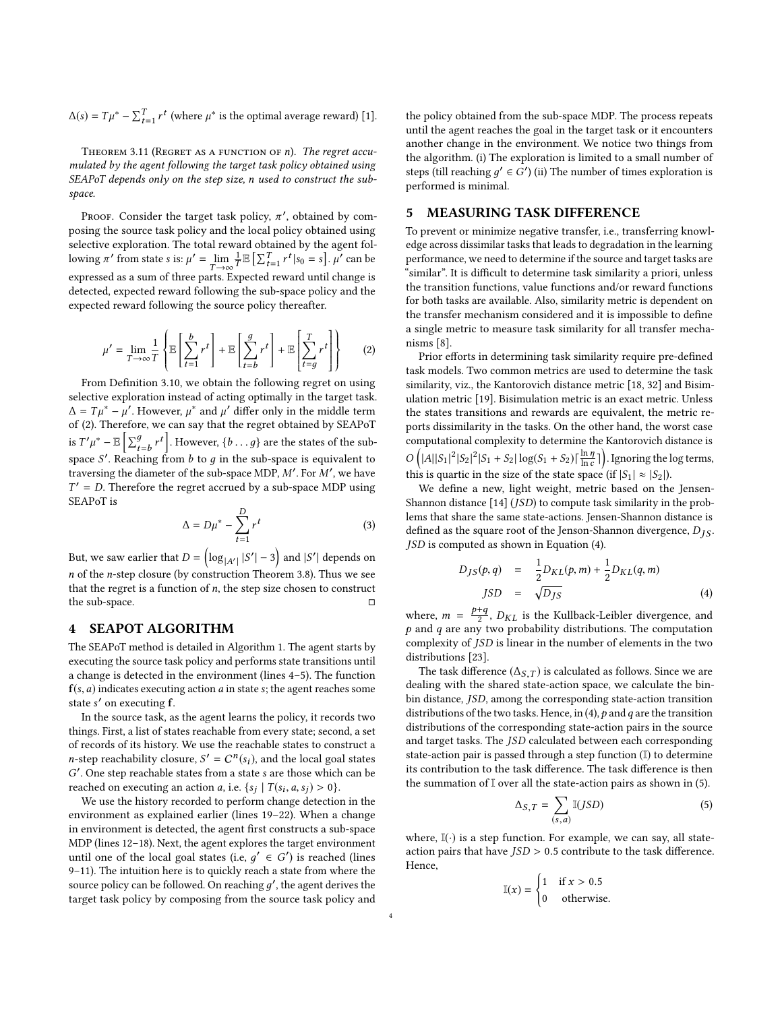$\Delta(s) = T\mu^* - \sum_{t=1}^T r^t$  (where  $\mu^*$  is the optimal average reward) [\[1\]](#page-7-2).

THEOREM 3.11 (REGRET AS A FUNCTION OF  $n$ ). The regret accumulated by the agent following the target task policy obtained using SEAPoT depends only on the step size, n used to construct the subspace.

Proof. Consider the target task policy,  $\pi'$ , obtained by com-<br>sing the source task policy and the local policy obtained using posing the source task policy and the local policy obtained using selective exploration. The total reward obtained by the agent following  $\pi'$  from state s is:  $\mu' = \lim_{T \to \infty} \frac{1}{T}$  $T \rightarrow \infty$   $T^{-1}$   $\hookrightarrow$   $T^{-1}$   $\hookrightarrow$   $T^{-1}$   $\hookrightarrow$   $T^{-1}$   $\hookrightarrow$   $T^{-1}$   $\hookrightarrow$   $T^{-1}$   $\hookrightarrow$   $T^{-1}$   $\hookrightarrow$   $T^{-1}$   $\hookrightarrow$   $T^{-1}$   $\hookrightarrow$   $T^{-1}$   $\hookrightarrow$   $T^{-1}$   $\hookrightarrow$   $T^{-1}$   $\hookrightarrow$   $T^{-1}$   $\hookrightarrow$   $T^{-1}$   $\hookrightarrow$   $T^{-1}$   $\hookrightarrow$   $T^{-1}$   $\hookrightarrow$   $T^{-1$  $\mathbb{E}\left[\sum_{t=1}^{T} r^{t} | s_{0} = s \right]$ .  $\mu'$  can be detected, expected reward following the sub-space policy and the expected reward following the source policy thereafter.

<span id="page-3-0"></span>
$$
\mu' = \lim_{T \to \infty} \frac{1}{T} \left\{ \mathbb{E} \left[ \sum_{t=1}^{b} r^t \right] + \mathbb{E} \left[ \sum_{t=b}^{g} r^t \right] + \mathbb{E} \left[ \sum_{t=g}^{T} r^t \right] \right\} \tag{2}
$$

 From Definition [3.10,](#page-2-2) we obtain the following regret on using selective exploration instead of acting optimally in the target task.  $\Delta = T\mu^* - \mu'$ . However,  $\mu^*$  and  $\mu'$  differ only in the middle term of (2) Therefore, we can say that the regret obtained by SEAPoT of [\(2\)](#page-3-0). Therefore, we can say that the regret obtained by SEAPoT is  $T'\mu^* - \mathbb{E}\left[\sum_{t=b}^g r^t\right]$ . However,  $\{b \dots g\}$  are the states of the subspace S'. Reaching from b to g in the sub-space is equivalent to<br>space S'. Reaching from b to g in the sub-space is equivalent to<br>traversing the diameter of the sub-space MDP  $M'$ . For  $M'$ , we have traversing the diameter of the sub-space MDP,  $M'$ . For  $M'$ , we have  $T' = D$ . Therefore the regret accrued by a sub-space MDP using SEAP<sub>o</sub>T<sub>is</sub>  $T' = D$ . Therefore the regret accrued by a sub-space MDP using

$$
\Delta = D\mu^* - \sum_{t=1}^{D} r^t
$$
 (3)

But, we saw earlier that  $D = \left(\log_{|A'|} |S'| - 3\right)$  and  $|S'|$  depends on  $n = 6$  the notan element (by construction Theorem 2.8). Thus we see n of the n-step closure (by construction Theorem [3.8\)](#page-2-1). Thus we see that the regret is a function of  $n$ , the step size chosen to construct the sub-space.

## 4 SEAPOT ALGORITHM

The SEAPoT method is detailed in Algorithm [1.](#page-4-0) The agent starts by executing the source task policy and performs state transitions until a change is detected in the environment (lines 4–5). The function  $f(s, a)$  indicates executing action  $a$  in state  $s$ ; the agent reaches some state s' on executing f.<br>In the source task a

In the source task, as the agent learns the policy, it records two things. First, a list of states reachable from every state; second, a set of records of its history. We use the reachable states to construct a *n*-step reachability closure,  $S' = C^n(s_i)$ , and the local goal states  $C'$  One step reachable states from a state s are those which can be reached on executing an action a, i.e.  $\{s_j \mid T(s_i, a, s_j) > 0\}$ .<br>We use the history recorded to perform change detection '. One step reachable states from a state s are those which can be probed on executing an action a i.e.  $f(x, a, s) > 0$ 

We use the history recorded to perform change detection in the environment as explained earlier (lines 19–22). When a change in environment is detected, the agent first constructs a sub-space MDP (lines 12–18). Next, the agent explores the target environment until one of the local goal states (i.e,  $g' \in G'$ ) is reached (lines 0–11). The intuition here is to quickly reach a state from where the 9–11). The intuition here is to quickly reach a state from where the source policy can be followed. On reaching  $g'$ , the agent derives the target task policy and target task policy by composing from the source task policy and the policy obtained from the sub-space MDP. The process repeats until the agent reaches the goal in the target task or it encounters another change in the environment. We notice two things from the algorithm. (i) The exploration is limited to a small number of steps (till reaching  $g' \in G'$ ) (ii) The number of times exploration is<br>performed is minimal performed is minimal.

### 5 MEASURING TASK DIFFERENCE

To prevent or minimize negative transfer, i.e., transferring knowledge across dissimilar tasks that leads to degradation in the learning performance, we need to determine if the source and target tasks are "similar". It is difficult to determine task similarity a priori, unless the transition functions, value functions and/or reward functions for both tasks are available. Also, similarity metric is dependent on the transfer mechanism considered and it is impossible to define a single metric to measure task similarity for all transfer mechanisms [\[8\]](#page-7-6).

Prior efforts in determining task similarity require pre-defined task models. Two common metrics are used to determine the task similarity, viz., the Kantorovich distance metric [\[18,](#page-8-8) [32\]](#page-8-9) and Bisimulation metric [\[19\]](#page-8-10). Bisimulation metric is an exact metric. Unless the states transitions and rewards are equivalent, the metric reports dissimilarity in the tasks. On the other hand, the worst case computational complexity to determine the Kantorovich distance is this is quartic in the size of the state space (if  $|S_1| \approx |S_2|$ ).<br>We define a new light weight metric based on the  $\left(|A||S_1|^2|S_2|^2|S_1+S_2|\right|\log(S_1+S_2)\left|\frac{\ln \eta}{\ln c}\right|$ . Ignoring the log terms,

We define a new, light weight, metric based on the Jensen-Shannon distance [\[14\]](#page-7-7) (JSD) to compute task similarity in the problems that share the same state-actions. Jensen-Shannon distance is defined as the square root of the Jenson-Shannon divergence,  $D_{IS}$ . JSD is computed as shown in Equation [\(4\)](#page-3-1).

<span id="page-3-1"></span>
$$
D_{JS}(p,q) = \frac{1}{2}D_{KL}(p,m) + \frac{1}{2}D_{KL}(q,m)
$$
  
\n
$$
JSD = \sqrt{D_{JS}}
$$
 (4)

where,  $m = \frac{p+q}{2}$ ,  $D_{KL}$  is the Kullback-Leibler divergence, and  $p$  and  $q$  are any two probability distributions. The computation complexity of JSD is linear in the number of elements in the two distributions [\[23\]](#page-8-11).

The task difference ( $\Delta_{S,T}$ ) is calculated as follows. Since we are dealing with the shared state-action space, we calculate the binbin distance, JSD, among the corresponding state-action transition distributions of the two tasks. Hence, in [\(4\)](#page-3-1),  $p$  and  $q$  are the transition distributions of the corresponding state-action pairs in the source and target tasks. The JSD calculated between each corresponding state-action pair is passed through a step function (I) to determine its contribution to the task difference. The task difference is then the summation of  $\mathbb I$  over all the state-action pairs as shown in [\(5\)](#page-3-2).

<span id="page-3-2"></span>
$$
\Delta_{S,T} = \sum_{(s,a)} \mathbb{I}(JSD) \tag{5}
$$

where,  $\mathbb{I}(\cdot)$  is a step function. For example, we can say, all stateaction pairs that have  $JSD > 0.5$  contribute to the task difference. Hence,

$$
\mathbb{I}(x) = \begin{cases} 1 & \text{if } x > 0.5 \\ 0 & \text{otherwise.} \end{cases}
$$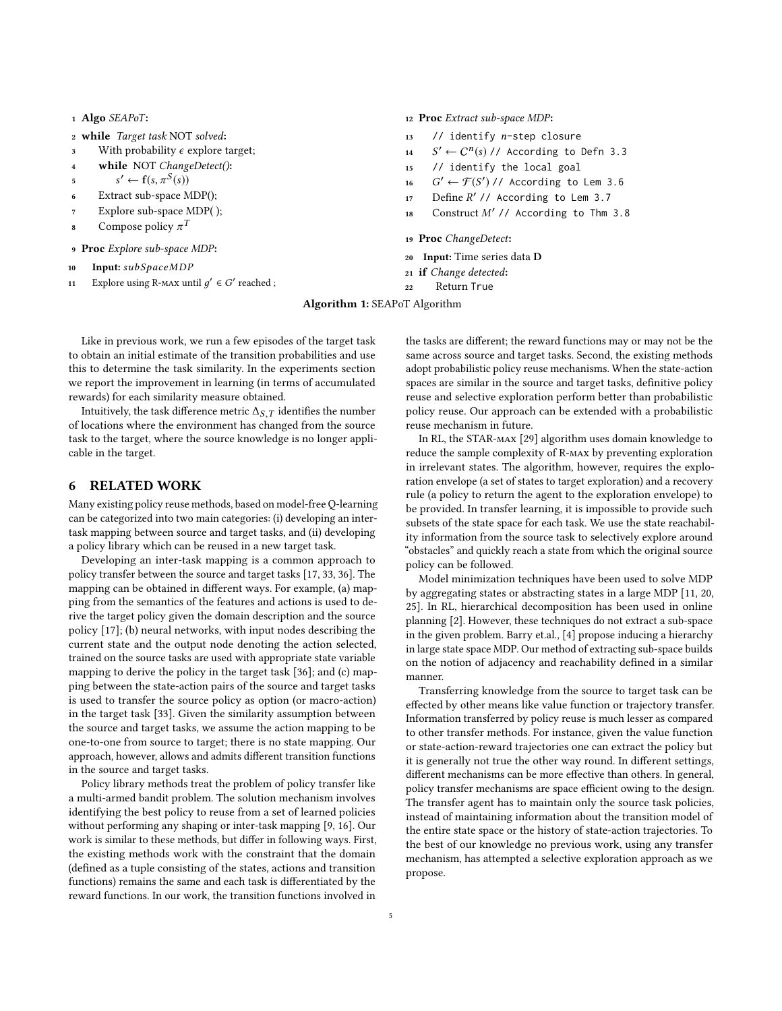- <sup>1</sup> Algo SEAPoT:
- <sup>2</sup> while Target task NOT solved:
- 3 With probability  $\epsilon$  explore target;<br>4 while NOT ChangeDetect():
- while NOT ChangeDetect():
- $\prime \leftarrow f(s, \pi^S(s))$
- 5  $s' \leftarrow t(s, \pi^{\circ}(s))$ <br>6 Extract sub-space MDP();
- <sup>7</sup> Explore sub-space MDP( );
- 8 Compose policy  $\pi^T$
- <sup>9</sup> Proc Explore sub-space MDP:
- 10 Input: subSpaceMDP<br>11 Explore using R-MAX un
- <span id="page-4-0"></span>11 Explore using R-мах until  $g' \in G'$  reached ;

<sup>12</sup> Proc Extract sub-space MDP:

- 13 // identify *n*-step closure<br>14  $S' \leftarrow C^n(s)$  // According to
- 14 S  $\prime \leftarrow C^n(s) / \prime$  According to Defn [3.3](#page-1-3)<br>(identify the local seal
- <sup>15</sup> // identify the local goal
- 16 G  $\mathcal{F} \left( S' \right)$  // According to Lem [3.6](#page-2-0)
- 17 Define  $R'/\prime$  According to Lem [3.7](#page-2-3)
- <sup>18</sup> Construct M′ // According to Thm [3.8](#page-2-1)
- <sup>19</sup> Proc ChangeDetect:
- <sup>20</sup> Input: Time series data D
- <sup>21</sup> if Change detected:
- <sup>22</sup> Return True

Algorithm 1: SEAPoT Algorithm

Like in previous work, we run a few episodes of the target task to obtain an initial estimate of the transition probabilities and use this to determine the task similarity. In the experiments section we report the improvement in learning (in terms of accumulated rewards) for each similarity measure obtained.

Intuitively, the task difference metric  $\Delta_S$ , T identifies the number of locations where the environment has changed from the source task to the target, where the source knowledge is no longer applicable in the target.

## 6 RELATED WORK

Many existing policy reuse methods, based on model-free Q-learning can be categorized into two main categories: (i) developing an intertask mapping between source and target tasks, and (ii) developing a policy library which can be reused in a new target task.

Developing an inter-task mapping is a common approach to policy transfer between the source and target tasks [\[17,](#page-8-12) [33,](#page-8-13) [36\]](#page-8-14). The mapping can be obtained in different ways. For example, (a) mapping from the semantics of the features and actions is used to derive the target policy given the domain description and the source policy [\[17\]](#page-8-12); (b) neural networks, with input nodes describing the current state and the output node denoting the action selected, trained on the source tasks are used with appropriate state variable mapping to derive the policy in the target task [\[36\]](#page-8-14); and (c) mapping between the state-action pairs of the source and target tasks is used to transfer the source policy as option (or macro-action) in the target task [\[33\]](#page-8-13). Given the similarity assumption between the source and target tasks, we assume the action mapping to be one-to-one from source to target; there is no state mapping. Our approach, however, allows and admits different transition functions in the source and target tasks.

Policy library methods treat the problem of policy transfer like a multi-armed bandit problem. The solution mechanism involves identifying the best policy to reuse from a set of learned policies without performing any shaping or inter-task mapping [\[9,](#page-7-8) [16\]](#page-8-2). Our work is similar to these methods, but differ in following ways. First, the existing methods work with the constraint that the domain (defined as a tuple consisting of the states, actions and transition functions) remains the same and each task is differentiated by the reward functions. In our work, the transition functions involved in

the tasks are different; the reward functions may or may not be the same across source and target tasks. Second, the existing methods adopt probabilistic policy reuse mechanisms. When the state-action spaces are similar in the source and target tasks, definitive policy reuse and selective exploration perform better than probabilistic policy reuse. Our approach can be extended with a probabilistic reuse mechanism in future.

In RL, the STAR-max [\[29\]](#page-8-15) algorithm uses domain knowledge to reduce the sample complexity of R-max by preventing exploration in irrelevant states. The algorithm, however, requires the exploration envelope (a set of states to target exploration) and a recovery rule (a policy to return the agent to the exploration envelope) to be provided. In transfer learning, it is impossible to provide such subsets of the state space for each task. We use the state reachability information from the source task to selectively explore around "obstacles" and quickly reach a state from which the original source policy can be followed.

Model minimization techniques have been used to solve MDP by aggregating states or abstracting states in a large MDP [\[11,](#page-7-9) [20,](#page-8-16) [25\]](#page-8-17). In RL, hierarchical decomposition has been used in online planning [\[2\]](#page-7-10). However, these techniques do not extract a sub-space in the given problem. Barry et.al., [\[4\]](#page-7-11) propose inducing a hierarchy in large state space MDP. Our method of extracting sub-space builds on the notion of adjacency and reachability defined in a similar manner.

Transferring knowledge from the source to target task can be effected by other means like value function or trajectory transfer. Information transferred by policy reuse is much lesser as compared to other transfer methods. For instance, given the value function or state-action-reward trajectories one can extract the policy but it is generally not true the other way round. In different settings, different mechanisms can be more effective than others. In general, policy transfer mechanisms are space efficient owing to the design. The transfer agent has to maintain only the source task policies, instead of maintaining information about the transition model of the entire state space or the history of state-action trajectories. To the best of our knowledge no previous work, using any transfer mechanism, has attempted a selective exploration approach as we propose.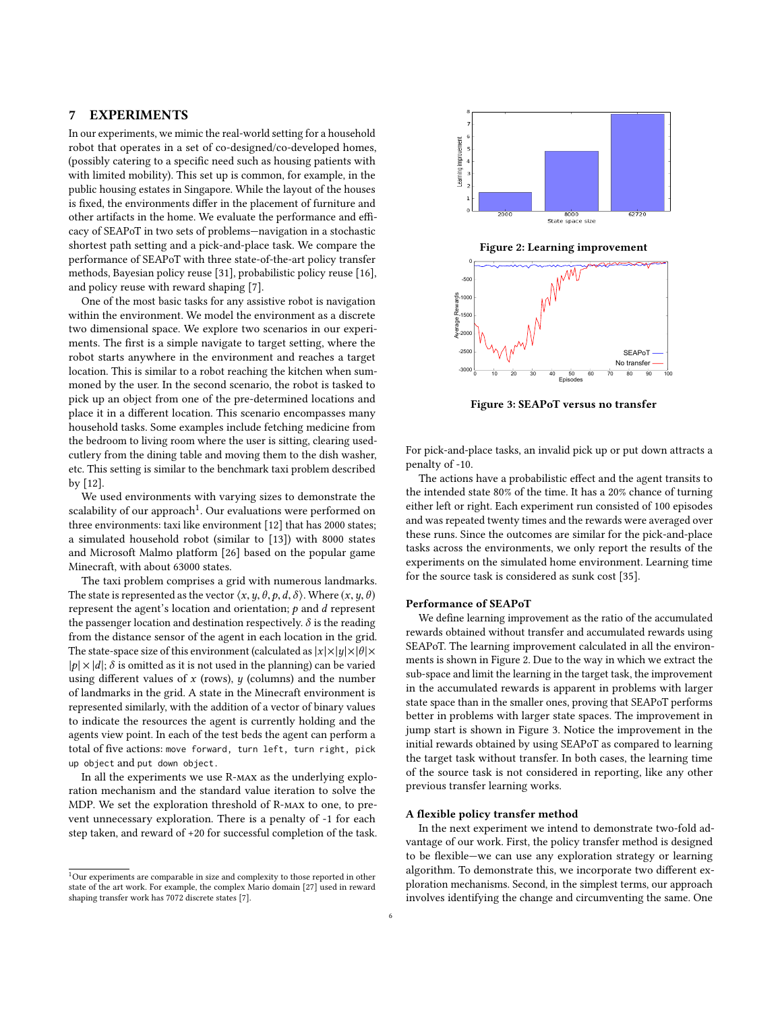## 7 EXPERIMENTS

In our experiments, we mimic the real-world setting for a household robot that operates in a set of co-designed/co-developed homes, (possibly catering to a specific need such as housing patients with with limited mobility). This set up is common, for example, in the public housing estates in Singapore. While the layout of the houses is fixed, the environments differ in the placement of furniture and other artifacts in the home. We evaluate the performance and efficacy of SEAPoT in two sets of problems—navigation in a stochastic shortest path setting and a pick-and-place task. We compare the performance of SEAPoT with three state-of-the-art policy transfer methods, Bayesian policy reuse [\[31\]](#page-8-18), probabilistic policy reuse [\[16\]](#page-8-2), and policy reuse with reward shaping [\[7\]](#page-7-1).

One of the most basic tasks for any assistive robot is navigation within the environment. We model the environment as a discrete two dimensional space. We explore two scenarios in our experiments. The first is a simple navigate to target setting, where the robot starts anywhere in the environment and reaches a target location. This is similar to a robot reaching the kitchen when summoned by the user. In the second scenario, the robot is tasked to pick up an object from one of the pre-determined locations and place it in a different location. This scenario encompasses many household tasks. Some examples include fetching medicine from the bedroom to living room where the user is sitting, clearing usedcutlery from the dining table and moving them to the dish washer, etc. This setting is similar to the benchmark taxi problem described by [\[12\]](#page-7-12).

We used environments with varying sizes to demonstrate the scalability of our approach<sup>[1](#page-5-0)</sup>. Our evaluations were performed on three environments: taxi like environment [\[12\]](#page-7-12) that has 2000 states; a simulated household robot (similar to [\[13\]](#page-7-13)) with 8000 states and Microsoft Malmo platform [\[26\]](#page-8-19) based on the popular game Minecraft, with about 63000 states.

The taxi problem comprises a grid with numerous landmarks. The state is represented as the vector  $\langle x, y, \theta, p, d, \delta \rangle$ . Where  $(x, y, \theta)$ represent the agent's location and orientation;  $p$  and  $d$  represent the passenger location and destination respectively.  $\delta$  is the reading from the distance sensor of the agent in each location in the grid. The state-space size of this environment (calculated as  $|x| \times |y| \times |\theta| \times$  $|p| \times |d|$ ;  $\delta$  is omitted as it is not used in the planning) can be varied using different values of  $x$  (rows),  $y$  (columns) and the number of landmarks in the grid. A state in the Minecraft environment is represented similarly, with the addition of a vector of binary values to indicate the resources the agent is currently holding and the agents view point. In each of the test beds the agent can perform a total of five actions: move forward, turn left, turn right, pick up object and put down object.

In all the experiments we use R-max as the underlying exploration mechanism and the standard value iteration to solve the MDP. We set the exploration threshold of R-max to one, to prevent unnecessary exploration. There is a penalty of -1 for each step taken, and reward of +20 for successful completion of the task.

<span id="page-5-1"></span>

Figure 2: Learning improvement



Figure 3: SEAPoT versus no transfer

For pick-and-place tasks, an invalid pick up or put down attracts a penalty of -10.

The actions have a probabilistic effect and the agent transits to the intended state 80% of the time. It has a 20% chance of turning either left or right. Each experiment run consisted of 100 episodes and was repeated twenty times and the rewards were averaged over these runs. Since the outcomes are similar for the pick-and-place tasks across the environments, we only report the results of the experiments on the simulated home environment. Learning time for the source task is considered as sunk cost [\[35\]](#page-8-1).

## Performance of SEAPoT

We define learning improvement as the ratio of the accumulated rewards obtained without transfer and accumulated rewards using SEAPoT. The learning improvement calculated in all the environments is shown in Figure [2.](#page-5-1) Due to the way in which we extract the sub-space and limit the learning in the target task, the improvement in the accumulated rewards is apparent in problems with larger state space than in the smaller ones, proving that SEAPoT performs better in problems with larger state spaces. The improvement in jump start is shown in Figure [3.](#page-5-1) Notice the improvement in the initial rewards obtained by using SEAPoT as compared to learning the target task without transfer. In both cases, the learning time of the source task is not considered in reporting, like any other previous transfer learning works.

#### A flexible policy transfer method

In the next experiment we intend to demonstrate two-fold advantage of our work. First, the policy transfer method is designed to be flexible—we can use any exploration strategy or learning algorithm. To demonstrate this, we incorporate two different exploration mechanisms. Second, in the simplest terms, our approach involves identifying the change and circumventing the same. One

<span id="page-5-0"></span> $1$ Our experiments are comparable in size and complexity to those reported in other state of the art work. For example, the complex Mario domain [\[27\]](#page-8-20) used in reward shaping transfer work has 7072 discrete states [\[7\]](#page-7-1).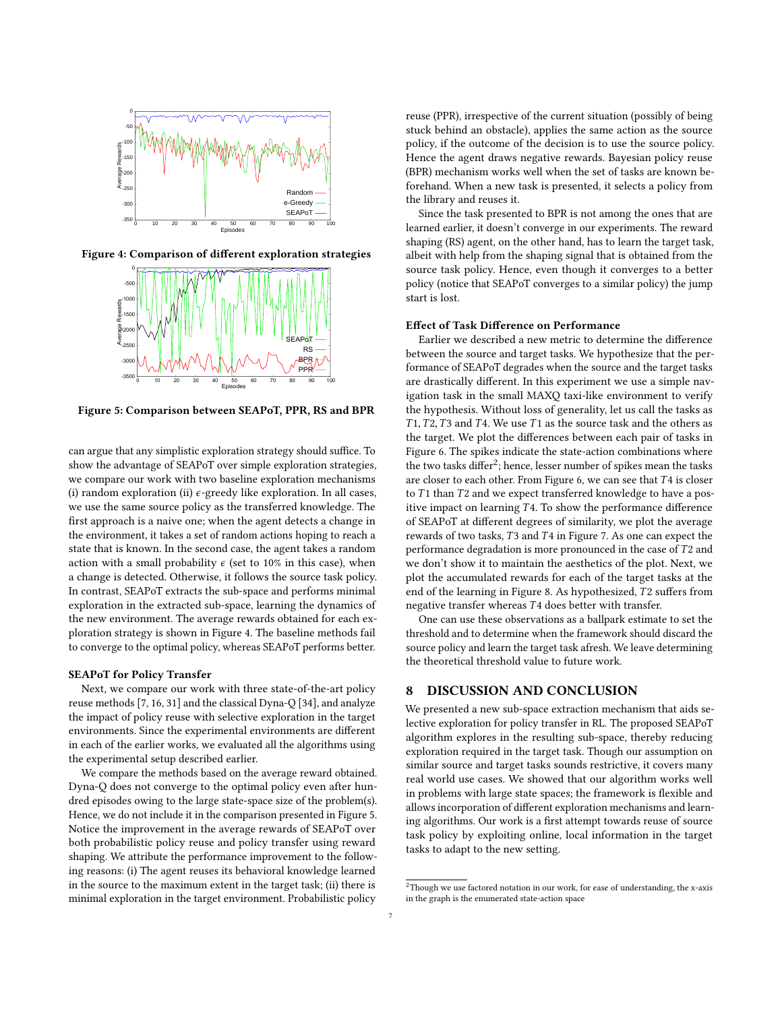<span id="page-6-0"></span>

Figure 4: Comparison of different exploration strategies



Figure 5: Comparison between SEAPoT, PPR, RS and BPR

can argue that any simplistic exploration strategy should suffice. To show the advantage of SEAPoT over simple exploration strategies, we compare our work with two baseline exploration mechanisms (i) random exploration (ii)  $\epsilon$ -greedy like exploration. In all cases, we use the same source policy as the transferred knowledge. The first approach is a naive one; when the agent detects a change in the environment, it takes a set of random actions hoping to reach a state that is known. In the second case, the agent takes a random action with a small probability  $\epsilon$  (set to 10% in this case), when a change is detected. Otherwise, it follows the source task policy. In contrast, SEAPoT extracts the sub-space and performs minimal exploration in the extracted sub-space, learning the dynamics of the new environment. The average rewards obtained for each exploration strategy is shown in Figure [4.](#page-6-0) The baseline methods fail to converge to the optimal policy, whereas SEAPoT performs better.

### SEAPoT for Policy Transfer

Next, we compare our work with three state-of-the-art policy reuse methods [\[7,](#page-7-1) [16,](#page-8-2) [31\]](#page-8-18) and the classical Dyna-Q [\[34\]](#page-8-21), and analyze the impact of policy reuse with selective exploration in the target environments. Since the experimental environments are different in each of the earlier works, we evaluated all the algorithms using the experimental setup described earlier.

We compare the methods based on the average reward obtained. Dyna-Q does not converge to the optimal policy even after hundred episodes owing to the large state-space size of the problem(s). Hence, we do not include it in the comparison presented in Figure [5.](#page-6-0) Notice the improvement in the average rewards of SEAPoT over both probabilistic policy reuse and policy transfer using reward shaping. We attribute the performance improvement to the following reasons: (i) The agent reuses its behavioral knowledge learned in the source to the maximum extent in the target task; (ii) there is minimal exploration in the target environment. Probabilistic policy

reuse (PPR), irrespective of the current situation (possibly of being stuck behind an obstacle), applies the same action as the source policy, if the outcome of the decision is to use the source policy. Hence the agent draws negative rewards. Bayesian policy reuse (BPR) mechanism works well when the set of tasks are known beforehand. When a new task is presented, it selects a policy from the library and reuses it.

Since the task presented to BPR is not among the ones that are learned earlier, it doesn't converge in our experiments. The reward shaping (RS) agent, on the other hand, has to learn the target task, albeit with help from the shaping signal that is obtained from the source task policy. Hence, even though it converges to a better policy (notice that SEAPoT converges to a similar policy) the jump start is lost.

#### Effect of Task Difference on Performance

Earlier we described a new metric to determine the difference between the source and target tasks. We hypothesize that the performance of SEAPoT degrades when the source and the target tasks are drastically different. In this experiment we use a simple navigation task in the small MAXQ taxi-like environment to verify the hypothesis. Without loss of generality, let us call the tasks as  $T1, T2, T3$  and T4. We use T1 as the source task and the others as the target. We plot the differences between each pair of tasks in Figure [6.](#page-7-14) The spikes indicate the state-action combinations where the two tasks differ[2](#page-6-1) ; hence, lesser number of spikes mean the tasks are closer to each other. From Figure [6,](#page-7-14) we can see that T <sup>4</sup> is closer to  $T1$  than  $T2$  and we expect transferred knowledge to have a positive impact on learning  $T4$ . To show the performance difference of SEAPoT at different degrees of similarity, we plot the average rewards of two tasks,  $T3$  and  $T4$  in Figure [7.](#page-7-15) As one can expect the performance degradation is more pronounced in the case of  $T2$  and we don't show it to maintain the aesthetics of the plot. Next, we plot the accumulated rewards for each of the target tasks at the end of the learning in Figure [8.](#page-7-15) As hypothesized, T2 suffers from negative transfer whereas T4 does better with transfer.

One can use these observations as a ballpark estimate to set the threshold and to determine when the framework should discard the source policy and learn the target task afresh. We leave determining the theoretical threshold value to future work.

### 8 DISCUSSION AND CONCLUSION

We presented a new sub-space extraction mechanism that aids selective exploration for policy transfer in RL. The proposed SEAPoT algorithm explores in the resulting sub-space, thereby reducing exploration required in the target task. Though our assumption on similar source and target tasks sounds restrictive, it covers many real world use cases. We showed that our algorithm works well in problems with large state spaces; the framework is flexible and allows incorporation of different exploration mechanisms and learning algorithms. Our work is a first attempt towards reuse of source task policy by exploiting online, local information in the target tasks to adapt to the new setting.

<span id="page-6-1"></span> $2$ Though we use factored notation in our work, for ease of understanding, the x-axis in the graph is the enumerated state-action space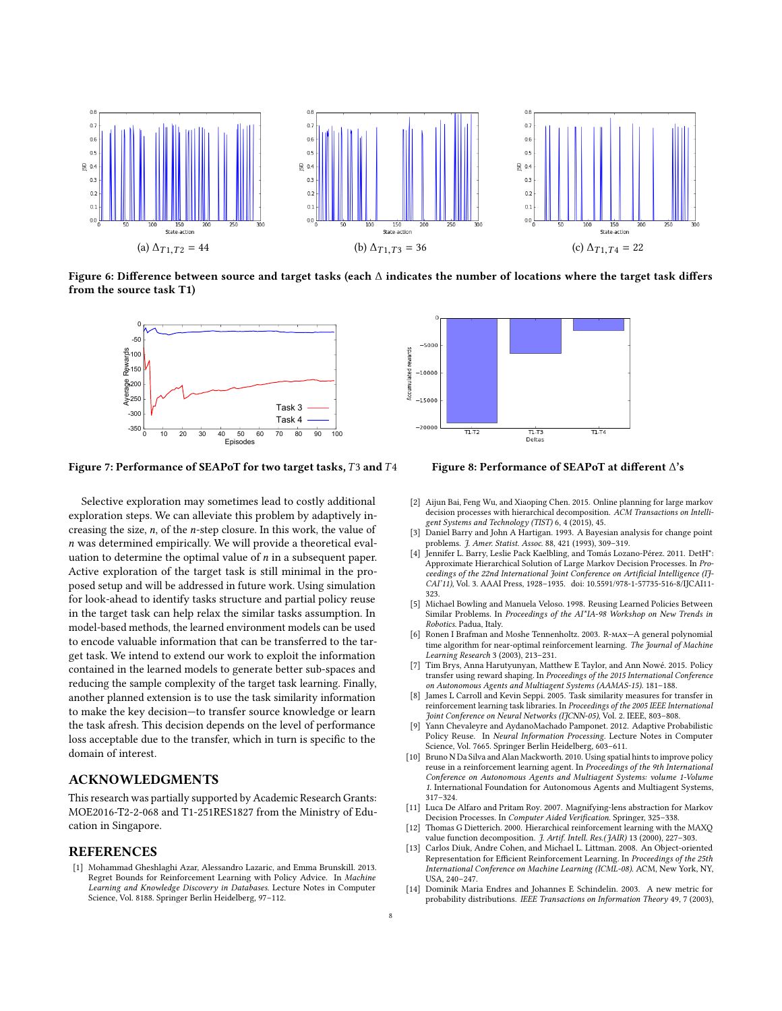<span id="page-7-14"></span>

<span id="page-7-15"></span>Figure 6: Difference between source and target tasks (each ∆ indicates the number of locations where the target task differs from the source task T1)



Figure 7: Performance of SEAPoT for two target tasks, T3 and T4 Figure 8: Performance of SEAPoT at different ∆'s

Selective exploration may sometimes lead to costly additional exploration steps. We can alleviate this problem by adaptively increasing the size, n, of the n-step closure. In this work, the value of n was determined empirically. We will provide a theoretical evaluation to determine the optimal value of  $n$  in a subsequent paper. Active exploration of the target task is still minimal in the proposed setup and will be addressed in future work. Using simulation for look-ahead to identify tasks structure and partial policy reuse in the target task can help relax the similar tasks assumption. In model-based methods, the learned environment models can be used to encode valuable information that can be transferred to the target task. We intend to extend our work to exploit the information contained in the learned models to generate better sub-spaces and reducing the sample complexity of the target task learning. Finally, another planned extension is to use the task similarity information to make the key decision—to transfer source knowledge or learn the task afresh. This decision depends on the level of performance loss acceptable due to the transfer, which in turn is specific to the domain of interest.

# ACKNOWLEDGMENTS

This research was partially supported by Academic Research Grants: MOE2016-T2-2-068 and T1-251RES1827 from the Ministry of Education in Singapore.

#### REFERENCES

<span id="page-7-2"></span>[1] Mohammad Gheshlaghi Azar, Alessandro Lazaric, and Emma Brunskill. 2013. Regret Bounds for Reinforcement Learning with Policy Advice. In Machine Learning and Knowledge Discovery in Databases. Lecture Notes in Computer Science, Vol. 8188. Springer Berlin Heidelberg, 97–112.



- <span id="page-7-10"></span>[2] Aijun Bai, Feng Wu, and Xiaoping Chen. 2015. Online planning for large markov decision processes with hierarchical decomposition. ACM Transactions on Intelligent Systems and Technology (TIST) 6, 4 (2015), 45.
- <span id="page-7-4"></span>Daniel Barry and John A Hartigan. 1993. A Bayesian analysis for change point problems. J. Amer. Statist. Assoc. 88, 421 (1993), 309–319.
- <span id="page-7-11"></span>[4] Jennifer L. Barry, Leslie Pack Kaelbling, and Tomás Lozano-Pérez. 2011. DetH<sup>\*</sup>: Approximate Hierarchical Solution of Large Markov Decision Processes. In Proceedings of the 22nd International Joint Conference on Artificial Intelligence (IJ-CAI'11), Vol. 3. AAAI Press, 1928–1935. doi: 10.5591/978-1-57735-516-8/IJCAI11- 323.
- <span id="page-7-5"></span>[5] Michael Bowling and Manuela Veloso. 1998. Reusing Learned Policies Between Similar Problems. In Proceedings of the AI\*IA-98 Workshop on New Trends in Robotics. Padua, Italy.
- <span id="page-7-3"></span>[6] Ronen I Brafman and Moshe Tennenholtz. 2003. R-max—A general polynomial time algorithm for near-optimal reinforcement learning. The Journal of Machine Learning Research 3 (2003), 213–231.
- <span id="page-7-1"></span>[7] Tim Brys, Anna Harutyunyan, Matthew E Taylor, and Ann Nowé. 2015. Policy transfer using reward shaping. In Proceedings of the 2015 International Conference on Autonomous Agents and Multiagent Systems (AAMAS-15). 181–188.
- <span id="page-7-6"></span>[8] James L Carroll and Kevin Seppi. 2005. Task similarity measures for transfer in reinforcement learning task libraries. In Proceedings of the 2005 IEEE International Joint Conference on Neural Networks (IJCNN-05), Vol. 2. IEEE, 803–808.
- <span id="page-7-8"></span>[9] Yann Chevaleyre and AydanoMachado Pamponet. 2012. Adaptive Probabilistic Policy Reuse. In Neural Information Processing. Lecture Notes in Computer Science, Vol. 7665. Springer Berlin Heidelberg, 603–611.
- <span id="page-7-0"></span>[10] Bruno N Da Silva and Alan Mackworth. 2010. Using spatial hints to improve policy reuse in a reinforcement learning agent. In Proceedings of the 9th International Conference on Autonomous Agents and Multiagent Systems: volume 1-Volume 1. International Foundation for Autonomous Agents and Multiagent Systems, 317–324.
- <span id="page-7-9"></span>[11] Luca De Alfaro and Pritam Roy. 2007. Magnifying-lens abstraction for Markov Decision Processes. In Computer Aided Verification. Springer, 325–338.
- <span id="page-7-12"></span>[12] Thomas G Dietterich. 2000. Hierarchical reinforcement learning with the MAXQ value function decomposition. J. Artif. Intell. Res.(JAIR) 13 (2000), 227-303.
- <span id="page-7-13"></span>[13] Carlos Diuk, Andre Cohen, and Michael L. Littman. 2008. An Object-oriented Representation for Efficient Reinforcement Learning. In Proceedings of the 25th International Conference on Machine Learning (ICML-08). ACM, New York, NY, USA, 240–247.
- <span id="page-7-7"></span>[14] Dominik Maria Endres and Johannes E Schindelin. 2003. A new metric for probability distributions. IEEE Transactions on Information Theory 49, 7 (2003),